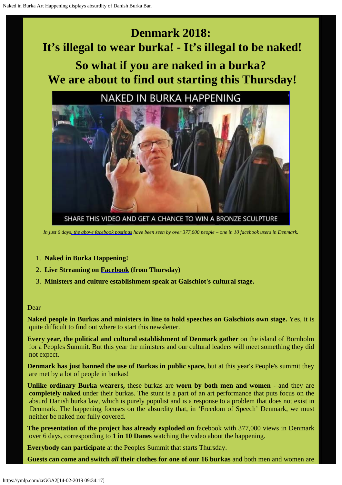# **Denmark 2018: It's illegal to wear burka! - It's illegal to be naked!**

## **So what if you are naked in a burka? We are about to find out starting this Thursday!**

## **NAKED IN BURKA HAPPENING**



SHARE THIS VIDEO AND GET A CHANCE TO WIN A BRONZE SCULPTURE

*In just 6 day[s, the above facebook postings](https://www.facebook.com/253793748077349/videos/1568029943320383/?hc_ref=ARSXwu0rA_AOaybSCVvTqxS9UtoejIrrqfNFQhqURRroHR7GeHJwTlqzIJBj0nHO9CM) have been seen by over 377,000 people – one in 10 facebook users in Denmark.*

- 1. **Naked in Burka Happening!**
- 2. **Live Streaming on [Facebook](http://www.facebook.com/Galleri-Galschi??tJens-Galschi??t-253793748077349/) (from Thursday)**
- 3. **Ministers and culture establishment speak at Galschiot's cultural stage.**

#### Dear

**Naked people in Burkas and ministers in line to hold speeches on Galschiots own stage.** Yes, it is quite difficult to find out where to start this newsletter.

**Every year, the political and cultural establishment of Denmark gather** on the island of Bornholm for a Peoples Summit. But this year the ministers and our cultural leaders will meet something they did not expect.

**Denmark has just banned the use of Burkas in public space,** but at this year's People's summit they are met by a lot of people in burkas!

**Unlike ordinary Burka wearers,** these burkas are **worn by both men and women -** and they are **completely naked** under their burkas. The stunt is a part of an art performance that puts focus on the absurd Danish burka law, which is purely populist and is a response to a problem that does not exist in Denmark. The happening focuses on the absurdity that, in 'Freedom of Speech' Denmark, we must neither be naked nor fully covered.

**The presentation of the project has already exploded on** [facebook with 377,000 views](https://www.facebook.com/253793748077349/videos/1568029943320383/?hc_ref=ARSXwu0rA_AOaybSCVvTqxS9UtoejIrrqfNFQhqURRroHR7GeHJwTlqzIJBj0nHO9CM) in Denmark over 6 days, corresponding to **1 in 10 Danes** watching the video about the happening.

**Everybody can participate** at the Peoples Summit that starts Thursday.

**Guests can come and switch** *all* **their clothes for one of our 16 burkas** and both men and women are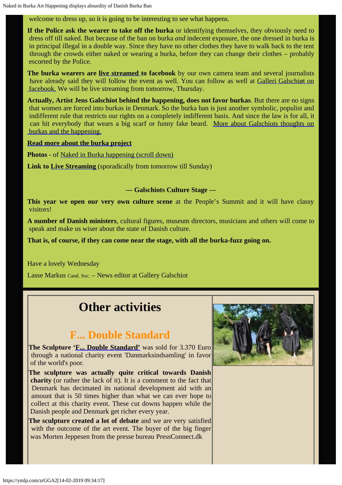### welcome to dress up, so it is going to be interesting to see what happens.

**If the Police ask the wearer to take off the burka** or identifying themselves, they obviously need to dress off till naked. But because of the ban on burka *and* indecent exposure, the one dressed in burka is in principal illegal in a double way. Since they have no other clothes they have to walk back to the tent through the crowds either naked or wearing a burka, before they can change their clothes – probably escorted by the Police.

**The burka wearers are [live streamed](https://www.facebook.com/Galleri-Galschi??tJens-Galschi??t-253793748077349/) to facebook** by our own camera team and several journalists have already said they will follow the event as well. You can follow as well at [Galleri Galschiøt on](https://www.facebook.com/Galleri-Galschi??tJens-Galschi??t-253793748077349/)  [facebook.](https://www.facebook.com/Galleri-Galschi??tJens-Galschi??t-253793748077349/) We will be live streaming from tomorrow, Thursday.

**Actually, Artist Jens Galschiot behind the happening, does not favor burkas**. But there are no signs that women are forced into burkas in Denmark. So the burka ban is just another symbolic, populist and indifferent rule that restricts our rights on a completely indifferent basis. And since the law is for all, it can hit everybody that wears a big scarf or funny fake beard. [More about Galschiots thoughts on](http://www.galschiot.com/wp-content/uploads/2018/06/What-Galschiot-thinks-of-Burkas.pdf)  [burkas and the happening.](http://www.galschiot.com/wp-content/uploads/2018/06/What-Galschiot-thinks-of-Burkas.pdf)

#### **[Read more about the burka project](http://www.galschiot.com/wp-content/uploads/2018/06/Fuck-too-Little-and-too-Much.pdf)**

**Photos** - of [Naked in Burka happening \(scroll down\)](http://www.galschiot.com/burka)

**Link to [Live Streaming](http://www.facebook.com/Galleri-Galschi??tJens-Galschi??t-253793748077349/)** (sporadically from tomorrow till Sunday)

#### **--- Galschiots Culture Stage ---**

**This year we open our very own culture scene** at the People's Summit and it will have classy visitors!

**A number of Danish ministers**, cultural figures, museum directors, musicians and others will come to speak and make us wiser about the state of Danish culture.

**That is, of course, if they can come near the stage, with all the burka-fuzz going on.**

Have a lovely Wednesday

Lasse Markus Cand. Soc. – News editor at Gallery Galschiot

## **Other activities**

### **F... Double Standard**

**The Sculpture ['F... Double Standard'](http://www.galschiot.com/fuck-dobbeltmoralen/)** was sold for 3.370 Euro through a national charity event 'Danmarksindsamling' in favor of the world's poor.

**The sculpture was actually quite critical towards Danish charity** (or rather the lack of it). It is a comment to the fact that Denmark has decimated its national development aid with an amount that is 50 times higher than what we can ever hope to collect at this charity event. These cut downs happen while the Danish people and Denmark get richer every year.

**The sculpture created a lot of debate** and we are very satisfied with the outcome of the art event. The buyer of the big finger was Morten Jeppesen from the presse bureau PressConnect.dk

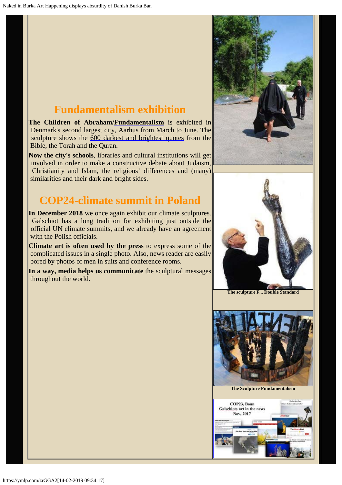## **Fundamentalism exhibition**

**The Children of Abraham[/Fundamentalism](http://fundamentalism.dk/en/)** is exhibited in Denmark's second largest city, Aarhus from March to June. The sculpture shows the [600 darkest and brightest quotes](http://www.fundamentalism.dk/quotesearch/index.php?lang=GB) from the Bible, the Torah and the Quran.

**Now the city's schools**, libraries and cultural institutions will get involved in order to make a constructive debate about Judaism, Christianity and Islam, the religions' differences and (many) similarities and their dark and bright sides.

## **COP24-climate summit in Poland**

**In December 2018** we once again exhibit our climate sculptures. Galschiot has a long tradition for exhibiting just outside the official UN climate summits, and we already have an agreement with the Polish officials.

**Climate art is often used by the press** to express some of the complicated issues in a single photo. Also, news reader are easily bored by photos of men in suits and conference rooms.

**In a way, media helps us communicate** the sculptural messages throughout the world.





**The sculpture F... Double Standard**



**The Sculpture Fundamentalism**